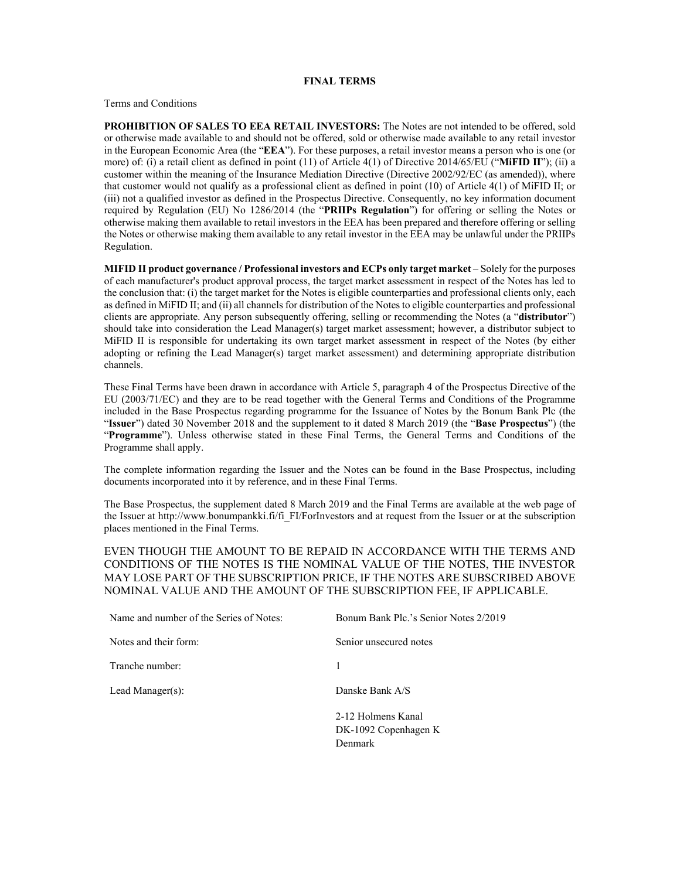## **FINAL TERMS**

Terms and Conditions

**PROHIBITION OF SALES TO EEA RETAIL INVESTORS:** The Notes are not intended to be offered, sold or otherwise made available to and should not be offered, sold or otherwise made available to any retail investor in the European Economic Area (the "**EEA**"). For these purposes, a retail investor means a person who is one (or more) of: (i) a retail client as defined in point (11) of Article 4(1) of Directive 2014/65/EU ("**MiFID II**"); (ii) a customer within the meaning of the Insurance Mediation Directive (Directive 2002/92/EC (as amended)), where that customer would not qualify as a professional client as defined in point (10) of Article 4(1) of MiFID II; or (iii) not a qualified investor as defined in the Prospectus Directive. Consequently, no key information document required by Regulation (EU) No 1286/2014 (the "**PRIIPs Regulation**") for offering or selling the Notes or otherwise making them available to retail investors in the EEA has been prepared and therefore offering or selling the Notes or otherwise making them available to any retail investor in the EEA may be unlawful under the PRIIPs Regulation.

**MIFID II product governance / Professional investors and ECPs only target market** – Solely for the purposes of each manufacturer's product approval process, the target market assessment in respect of the Notes has led to the conclusion that: (i) the target market for the Notes is eligible counterparties and professional clients only, each as defined in MiFID II; and (ii) all channels for distribution of the Notes to eligible counterparties and professional clients are appropriate. Any person subsequently offering, selling or recommending the Notes (a "**distributor**") should take into consideration the Lead Manager(s) target market assessment; however, a distributor subject to MiFID II is responsible for undertaking its own target market assessment in respect of the Notes (by either adopting or refining the Lead Manager(s) target market assessment) and determining appropriate distribution channels.

These Final Terms have been drawn in accordance with Article 5, paragraph 4 of the Prospectus Directive of the EU (2003/71/EC) and they are to be read together with the General Terms and Conditions of the Programme included in the Base Prospectus regarding programme for the Issuance of Notes by the Bonum Bank Plc (the "**Issuer**") dated 30 November 2018 and the supplement to it dated 8 March 2019 (the "**Base Prospectus**") (the "**Programme**"). Unless otherwise stated in these Final Terms, the General Terms and Conditions of the Programme shall apply.

The complete information regarding the Issuer and the Notes can be found in the Base Prospectus, including documents incorporated into it by reference, and in these Final Terms.

The Base Prospectus, the supplement dated 8 March 2019 and the Final Terms are available at the web page of the Issuer at http://www.bonumpankki.fi/fi\_FI/ForInvestors and at request from the Issuer or at the subscription places mentioned in the Final Terms.

EVEN THOUGH THE AMOUNT TO BE REPAID IN ACCORDANCE WITH THE TERMS AND CONDITIONS OF THE NOTES IS THE NOMINAL VALUE OF THE NOTES, THE INVESTOR MAY LOSE PART OF THE SUBSCRIPTION PRICE, IF THE NOTES ARE SUBSCRIBED ABOVE NOMINAL VALUE AND THE AMOUNT OF THE SUBSCRIPTION FEE, IF APPLICABLE.

| Name and number of the Series of Notes: | Bonum Bank Plc.'s Senior Notes 2/2019      |
|-----------------------------------------|--------------------------------------------|
| Notes and their form:                   | Senior unsecured notes                     |
| Tranche number:                         | 1                                          |
| Lead Manager $(s)$ :                    | Danske Bank A/S                            |
|                                         | 2-12 Holmens Kanal<br>DK-1092 Copenhagen K |
|                                         | Denmark                                    |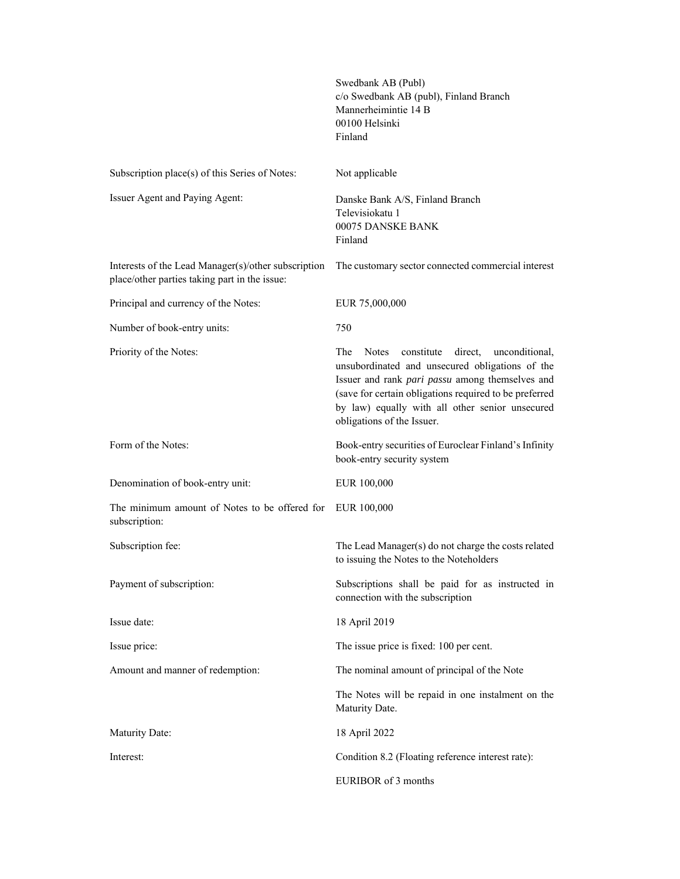|                                                                                                      | Swedbank AB (Publ)<br>c/o Swedbank AB (publ), Finland Branch<br>Mannerheimintie 14 B<br>00100 Helsinki<br>Finland                                                                                                                                                                                               |
|------------------------------------------------------------------------------------------------------|-----------------------------------------------------------------------------------------------------------------------------------------------------------------------------------------------------------------------------------------------------------------------------------------------------------------|
| Subscription place(s) of this Series of Notes:                                                       | Not applicable                                                                                                                                                                                                                                                                                                  |
| Issuer Agent and Paying Agent:                                                                       | Danske Bank A/S, Finland Branch<br>Televisiokatu 1<br>00075 DANSKE BANK<br>Finland                                                                                                                                                                                                                              |
| Interests of the Lead Manager(s)/other subscription<br>place/other parties taking part in the issue: | The customary sector connected commercial interest                                                                                                                                                                                                                                                              |
| Principal and currency of the Notes:                                                                 | EUR 75,000,000                                                                                                                                                                                                                                                                                                  |
| Number of book-entry units:                                                                          | 750                                                                                                                                                                                                                                                                                                             |
| Priority of the Notes:                                                                               | The<br>constitute<br>direct,<br><b>Notes</b><br>unconditional.<br>unsubordinated and unsecured obligations of the<br>Issuer and rank pari passu among themselves and<br>(save for certain obligations required to be preferred<br>by law) equally with all other senior unsecured<br>obligations of the Issuer. |
| Form of the Notes:                                                                                   | Book-entry securities of Euroclear Finland's Infinity<br>book-entry security system                                                                                                                                                                                                                             |
| Denomination of book-entry unit:                                                                     | EUR 100,000                                                                                                                                                                                                                                                                                                     |
| The minimum amount of Notes to be offered for<br>subscription:                                       | EUR 100,000                                                                                                                                                                                                                                                                                                     |
| Subscription fee:                                                                                    | The Lead Manager(s) do not charge the costs related<br>to issuing the Notes to the Noteholders                                                                                                                                                                                                                  |
| Payment of subscription:                                                                             | Subscriptions shall be paid for as instructed in<br>connection with the subscription                                                                                                                                                                                                                            |
| Issue date:                                                                                          | 18 April 2019                                                                                                                                                                                                                                                                                                   |
| Issue price:                                                                                         | The issue price is fixed: 100 per cent.                                                                                                                                                                                                                                                                         |
| Amount and manner of redemption:                                                                     | The nominal amount of principal of the Note                                                                                                                                                                                                                                                                     |
|                                                                                                      | The Notes will be repaid in one instalment on the<br>Maturity Date.                                                                                                                                                                                                                                             |
| <b>Maturity Date:</b>                                                                                | 18 April 2022                                                                                                                                                                                                                                                                                                   |
| Interest:                                                                                            | Condition 8.2 (Floating reference interest rate):                                                                                                                                                                                                                                                               |
|                                                                                                      | EURIBOR of 3 months                                                                                                                                                                                                                                                                                             |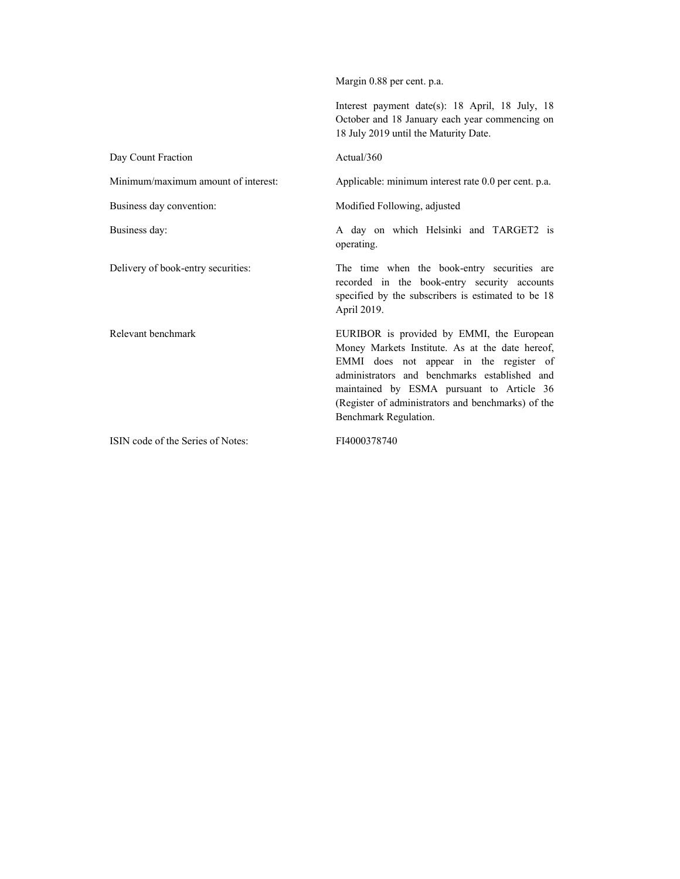Margin 0.88 per cent. p.a. Interest payment date(s): 18 April, 18 July, 18 October and 18 January each year commencing on 18 July 2019 until the Maturity Date. Day Count Fraction Actual/360 Minimum/maximum amount of interest: Applicable: minimum interest rate 0.0 per cent. p.a. Business day convention: Modified Following, adjusted Business day: A day on which Helsinki and TARGET2 is operating. Delivery of book-entry securities: The time when the book-entry securities are recorded in the book-entry security accounts specified by the subscribers is estimated to be 18 April 2019. Relevant benchmark EURIBOR is provided by EMMI, the European Money Markets Institute. As at the date hereof, EMMI does not appear in the register of administrators and benchmarks established and maintained by ESMA pursuant to Article 36 (Register of administrators and benchmarks) of the Benchmark Regulation. ISIN code of the Series of Notes: FI4000378740